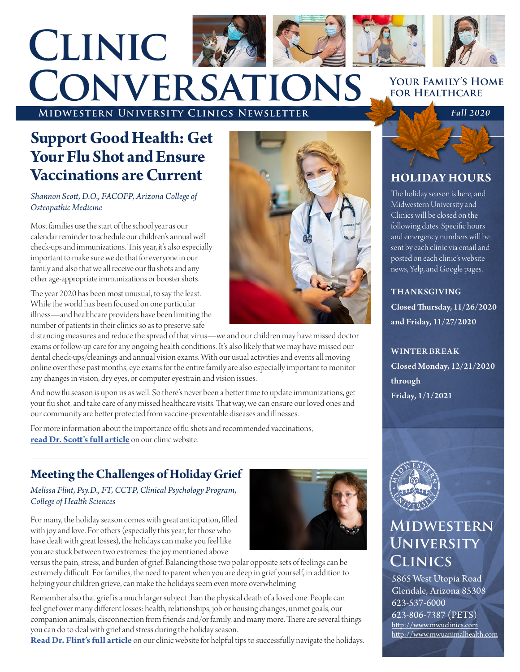

# **MIDWESTERN UNIVERSITY CLINICS NEWSLETTER Fall 2020 Conversations**

## **Support Good Health: Get Your Flu Shot and Ensure Vaccinations are Current**

#### *Shannon Scott, D.O., FACOFP, Arizona College of Osteopathic Medicine*

Most families use the start of the school year as our calendar reminder to schedule our children's annual well check-ups and immunizations. This year, it's also especially important to make sure we do that for everyone in our family and also that we all receive our flu shots and any other age-appropriate immunizations or booster shots.

The year 2020 has been most unusual, to say the least. While the world has been focused on one particular illness—and healthcare providers have been limiting the number of patients in their clinics so as to preserve safe

distancing measures and reduce the spread of that virus—we and our children may have missed doctor exams or follow-up care for any ongoing health conditions. It's also likely that we may have missed our dental check-ups/cleanings and annual vision exams. With our usual activities and events all moving online over these past months, eye exams for the entire family are also especially important to monitor any changes in vision, dry eyes, or computer eyestrain and vision issues.

And now flu season is upon us as well. So there's never been a better time to update immunizations, get your flu shot, and take care of any missed healthcare visits. That way, we can ensure our loved ones and our community are better protected from vaccine-preventable diseases and illnesses.

For more information about the importance of flu shots and recommended vaccinations, **[read Dr. Scott's full article](https://www.mwuclinics.com/clinics/news/flu-shots-and-vaccinations)** on our clinic website.

### **Meeting the Challenges of Holiday Grief**

#### *Melissa Flint, Psy.D., FT, CCTP, Clinical Psychology Program, College of Health Sciences*

For many, the holiday season comes with great anticipation, filled with joy and love. For others (especially this year, for those who have dealt with great losses), the holidays can make you feel like you are stuck between two extremes: the joy mentioned above



Remember also that grief is a much larger subject than the physical death of a loved one. People can feel grief over many different losses: health, relationships, job or housing changes, unmet goals, our companion animals, disconnection from friends and/or family, and many more. There are several things you can do to deal with grief and stress during the holiday season.

**[Read Dr. Flint's full article](https://www.mwuclinics.com/arizona/news/clinics/meeting-the-challenges-of-holiday-grief)** on our clinic website for helpful tips to successfully navigate the holidays.

## **HOLIDAY HOURS** The holiday season is here, and Midwestern University and Clinics will be closed on the posted on each clinic's website



THANKSGIVING

news, Yelp, and Google pages.

Closed Thursday, 11/26/2020 and Friday, 11/27/2020

### WINTER BREAK

Closed Monday, 12/21/2020 through Friday, 1/1/2021



### **Midwestern University Clinics**

5865 West Utopia Road Glendale, Arizona 85308 623-537-6000 623-806-7387 (PETS) http://www.mwuclinics.com http://www.mwuanimalhealth[.com](http://www.mwuanimalhealth.)